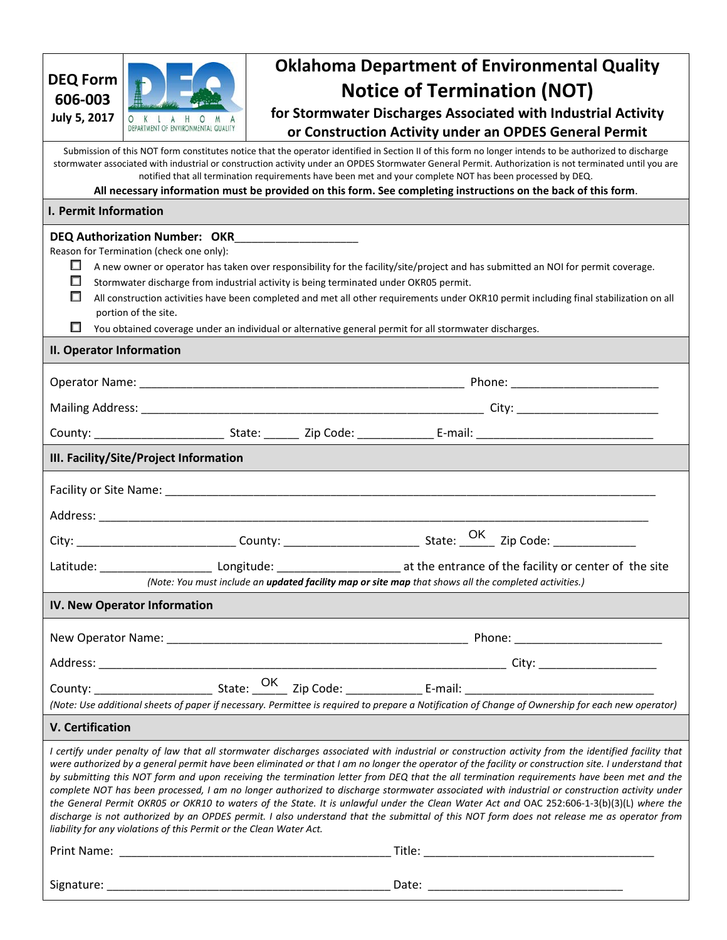| <b>DEQ Form</b><br>606-003                                                                                                                                                                                                                                                                                                                                                                                                                                                                                                                      |                                                                                                                       |                                                                                       | <b>Oklahoma Department of Environmental Quality</b><br><b>Notice of Termination (NOT)</b>                                                                                                                                                                                                                                                                                                                                                                                                                                                                                                                                                                                                                                                                                                                                                                                                            |
|-------------------------------------------------------------------------------------------------------------------------------------------------------------------------------------------------------------------------------------------------------------------------------------------------------------------------------------------------------------------------------------------------------------------------------------------------------------------------------------------------------------------------------------------------|-----------------------------------------------------------------------------------------------------------------------|---------------------------------------------------------------------------------------|------------------------------------------------------------------------------------------------------------------------------------------------------------------------------------------------------------------------------------------------------------------------------------------------------------------------------------------------------------------------------------------------------------------------------------------------------------------------------------------------------------------------------------------------------------------------------------------------------------------------------------------------------------------------------------------------------------------------------------------------------------------------------------------------------------------------------------------------------------------------------------------------------|
| <b>July 5, 2017</b>                                                                                                                                                                                                                                                                                                                                                                                                                                                                                                                             | DEPARTMENT OF ENVIRONMENTAL QUALITY                                                                                   |                                                                                       | for Stormwater Discharges Associated with Industrial Activity                                                                                                                                                                                                                                                                                                                                                                                                                                                                                                                                                                                                                                                                                                                                                                                                                                        |
|                                                                                                                                                                                                                                                                                                                                                                                                                                                                                                                                                 |                                                                                                                       |                                                                                       | or Construction Activity under an OPDES General Permit                                                                                                                                                                                                                                                                                                                                                                                                                                                                                                                                                                                                                                                                                                                                                                                                                                               |
| Submission of this NOT form constitutes notice that the operator identified in Section II of this form no longer intends to be authorized to discharge<br>stormwater associated with industrial or construction activity under an OPDES Stormwater General Permit. Authorization is not terminated until you are<br>notified that all termination requirements have been met and your complete NOT has been processed by DEQ.<br>All necessary information must be provided on this form. See completing instructions on the back of this form. |                                                                                                                       |                                                                                       |                                                                                                                                                                                                                                                                                                                                                                                                                                                                                                                                                                                                                                                                                                                                                                                                                                                                                                      |
| I. Permit Information                                                                                                                                                                                                                                                                                                                                                                                                                                                                                                                           |                                                                                                                       |                                                                                       |                                                                                                                                                                                                                                                                                                                                                                                                                                                                                                                                                                                                                                                                                                                                                                                                                                                                                                      |
| ш<br>□<br>□<br>$\Box$                                                                                                                                                                                                                                                                                                                                                                                                                                                                                                                           | DEQ Authorization Number: OKR____________________<br>Reason for Termination (check one only):<br>portion of the site. | Stormwater discharge from industrial activity is being terminated under OKR05 permit. | A new owner or operator has taken over responsibility for the facility/site/project and has submitted an NOI for permit coverage.<br>All construction activities have been completed and met all other requirements under OKR10 permit including final stabilization on all<br>You obtained coverage under an individual or alternative general permit for all stormwater discharges.                                                                                                                                                                                                                                                                                                                                                                                                                                                                                                                |
| II. Operator Information                                                                                                                                                                                                                                                                                                                                                                                                                                                                                                                        |                                                                                                                       |                                                                                       |                                                                                                                                                                                                                                                                                                                                                                                                                                                                                                                                                                                                                                                                                                                                                                                                                                                                                                      |
|                                                                                                                                                                                                                                                                                                                                                                                                                                                                                                                                                 |                                                                                                                       |                                                                                       |                                                                                                                                                                                                                                                                                                                                                                                                                                                                                                                                                                                                                                                                                                                                                                                                                                                                                                      |
|                                                                                                                                                                                                                                                                                                                                                                                                                                                                                                                                                 |                                                                                                                       |                                                                                       |                                                                                                                                                                                                                                                                                                                                                                                                                                                                                                                                                                                                                                                                                                                                                                                                                                                                                                      |
|                                                                                                                                                                                                                                                                                                                                                                                                                                                                                                                                                 |                                                                                                                       |                                                                                       |                                                                                                                                                                                                                                                                                                                                                                                                                                                                                                                                                                                                                                                                                                                                                                                                                                                                                                      |
|                                                                                                                                                                                                                                                                                                                                                                                                                                                                                                                                                 |                                                                                                                       |                                                                                       |                                                                                                                                                                                                                                                                                                                                                                                                                                                                                                                                                                                                                                                                                                                                                                                                                                                                                                      |
| III. Facility/Site/Project Information                                                                                                                                                                                                                                                                                                                                                                                                                                                                                                          |                                                                                                                       |                                                                                       |                                                                                                                                                                                                                                                                                                                                                                                                                                                                                                                                                                                                                                                                                                                                                                                                                                                                                                      |
|                                                                                                                                                                                                                                                                                                                                                                                                                                                                                                                                                 |                                                                                                                       |                                                                                       |                                                                                                                                                                                                                                                                                                                                                                                                                                                                                                                                                                                                                                                                                                                                                                                                                                                                                                      |
|                                                                                                                                                                                                                                                                                                                                                                                                                                                                                                                                                 |                                                                                                                       |                                                                                       |                                                                                                                                                                                                                                                                                                                                                                                                                                                                                                                                                                                                                                                                                                                                                                                                                                                                                                      |
|                                                                                                                                                                                                                                                                                                                                                                                                                                                                                                                                                 |                                                                                                                       |                                                                                       |                                                                                                                                                                                                                                                                                                                                                                                                                                                                                                                                                                                                                                                                                                                                                                                                                                                                                                      |
|                                                                                                                                                                                                                                                                                                                                                                                                                                                                                                                                                 |                                                                                                                       |                                                                                       | Latitude: ____________________________ Longitude: ____________________________at the entrance of the facility or center of the site<br>(Note: You must include an <b>updated facility map or site map</b> that shows all the completed activities.)                                                                                                                                                                                                                                                                                                                                                                                                                                                                                                                                                                                                                                                  |
| IV. New Operator Information                                                                                                                                                                                                                                                                                                                                                                                                                                                                                                                    |                                                                                                                       |                                                                                       |                                                                                                                                                                                                                                                                                                                                                                                                                                                                                                                                                                                                                                                                                                                                                                                                                                                                                                      |
|                                                                                                                                                                                                                                                                                                                                                                                                                                                                                                                                                 |                                                                                                                       |                                                                                       |                                                                                                                                                                                                                                                                                                                                                                                                                                                                                                                                                                                                                                                                                                                                                                                                                                                                                                      |
|                                                                                                                                                                                                                                                                                                                                                                                                                                                                                                                                                 |                                                                                                                       |                                                                                       |                                                                                                                                                                                                                                                                                                                                                                                                                                                                                                                                                                                                                                                                                                                                                                                                                                                                                                      |
|                                                                                                                                                                                                                                                                                                                                                                                                                                                                                                                                                 |                                                                                                                       |                                                                                       |                                                                                                                                                                                                                                                                                                                                                                                                                                                                                                                                                                                                                                                                                                                                                                                                                                                                                                      |
| (Note: Use additional sheets of paper if necessary. Permittee is required to prepare a Notification of Change of Ownership for each new operator)                                                                                                                                                                                                                                                                                                                                                                                               |                                                                                                                       |                                                                                       |                                                                                                                                                                                                                                                                                                                                                                                                                                                                                                                                                                                                                                                                                                                                                                                                                                                                                                      |
| <b>V. Certification</b>                                                                                                                                                                                                                                                                                                                                                                                                                                                                                                                         |                                                                                                                       |                                                                                       |                                                                                                                                                                                                                                                                                                                                                                                                                                                                                                                                                                                                                                                                                                                                                                                                                                                                                                      |
|                                                                                                                                                                                                                                                                                                                                                                                                                                                                                                                                                 | liability for any violations of this Permit or the Clean Water Act.                                                   |                                                                                       | I certify under penalty of law that all stormwater discharges associated with industrial or construction activity from the identified facility that<br>were authorized by a general permit have been eliminated or that I am no longer the operator of the facility or construction site. I understand that<br>by submitting this NOT form and upon receiving the termination letter from DEQ that the all termination requirements have been met and the<br>complete NOT has been processed, I am no longer authorized to discharge stormwater associated with industrial or construction activity under<br>the General Permit OKR05 or OKR10 to waters of the State. It is unlawful under the Clean Water Act and OAC 252:606-1-3(b)(3)(L) where the<br>discharge is not authorized by an OPDES permit. I also understand that the submittal of this NOT form does not release me as operator from |
|                                                                                                                                                                                                                                                                                                                                                                                                                                                                                                                                                 |                                                                                                                       |                                                                                       |                                                                                                                                                                                                                                                                                                                                                                                                                                                                                                                                                                                                                                                                                                                                                                                                                                                                                                      |
|                                                                                                                                                                                                                                                                                                                                                                                                                                                                                                                                                 |                                                                                                                       |                                                                                       |                                                                                                                                                                                                                                                                                                                                                                                                                                                                                                                                                                                                                                                                                                                                                                                                                                                                                                      |
|                                                                                                                                                                                                                                                                                                                                                                                                                                                                                                                                                 |                                                                                                                       |                                                                                       |                                                                                                                                                                                                                                                                                                                                                                                                                                                                                                                                                                                                                                                                                                                                                                                                                                                                                                      |